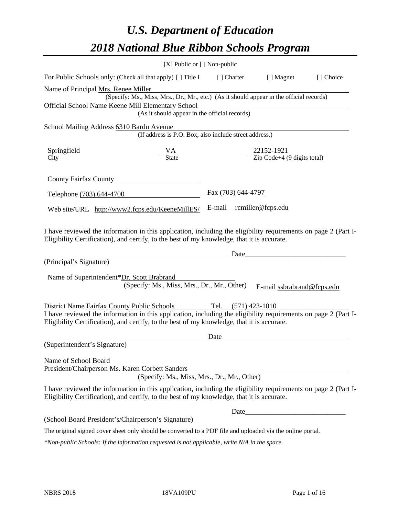# *U.S. Department of Education 2018 National Blue Ribbon Schools Program*

|                                                                                                                                                                                                                                                                                      | [X] Public or [] Non-public                            |                          |                                                                                          |           |
|--------------------------------------------------------------------------------------------------------------------------------------------------------------------------------------------------------------------------------------------------------------------------------------|--------------------------------------------------------|--------------------------|------------------------------------------------------------------------------------------|-----------|
| For Public Schools only: (Check all that apply) [] Title I [] Charter                                                                                                                                                                                                                |                                                        |                          | [ ] Magnet                                                                               | [] Choice |
| Name of Principal Mrs. Renee Miller<br>Official School Name Keene Mill Elementary School                                                                                                                                                                                             | (As it should appear in the official records)          |                          | (Specify: Ms., Miss, Mrs., Dr., Mr., etc.) (As it should appear in the official records) |           |
| School Mailing Address 6310 Bardu Avenue                                                                                                                                                                                                                                             | (If address is P.O. Box, also include street address.) |                          |                                                                                          |           |
| <b>Springfield</b><br>$\frac{VA}{State}$ $\frac{22152-1921}{Zip Code+4 (9 digits total)}$<br>City                                                                                                                                                                                    |                                                        |                          |                                                                                          |           |
| County Fairfax County                                                                                                                                                                                                                                                                |                                                        |                          |                                                                                          |           |
| Telephone (703) 644-4700                                                                                                                                                                                                                                                             |                                                        | Fax (703) 644-4797       |                                                                                          |           |
| Web site/URL http://www2.fcps.edu/KeeneMillES/                                                                                                                                                                                                                                       |                                                        | E-mail rcmiller@fcps.edu |                                                                                          |           |
| I have reviewed the information in this application, including the eligibility requirements on page 2 (Part I-<br>Eligibility Certification), and certify, to the best of my knowledge, that it is accurate.<br>(Principal's Signature)<br>Name of Superintendent*Dr. Scott Brabrand | (Specify: Ms., Miss, Mrs., Dr., Mr., Other)            | Date                     | E-mail ssbrabrand@fcps.edu                                                               |           |
| District Name Fairfax County Public Schools<br>I have reviewed the information in this application, including the eligibility requirements on page 2 (Part I-<br>Eligibility Certification), and certify, to the best of my knowledge, that it is accurate.                          |                                                        | Tel. $(571)$ 423-1010    |                                                                                          |           |
| (Superintendent's Signature)                                                                                                                                                                                                                                                         |                                                        | Date                     |                                                                                          |           |
| Name of School Board<br>President/Chairperson Ms. Karen Corbett Sanders                                                                                                                                                                                                              | (Specify: Ms., Miss, Mrs., Dr., Mr., Other)            |                          |                                                                                          |           |
| I have reviewed the information in this application, including the eligibility requirements on page 2 (Part I-<br>Eligibility Certification), and certify, to the best of my knowledge, that it is accurate.                                                                         |                                                        |                          |                                                                                          |           |
|                                                                                                                                                                                                                                                                                      |                                                        |                          |                                                                                          |           |
| (School Board President's/Chairperson's Signature)                                                                                                                                                                                                                                   |                                                        |                          |                                                                                          |           |
| The original signed cover sheet only should be converted to a PDF file and uploaded via the online portal.                                                                                                                                                                           |                                                        |                          |                                                                                          |           |

*\*Non-public Schools: If the information requested is not applicable, write N/A in the space.*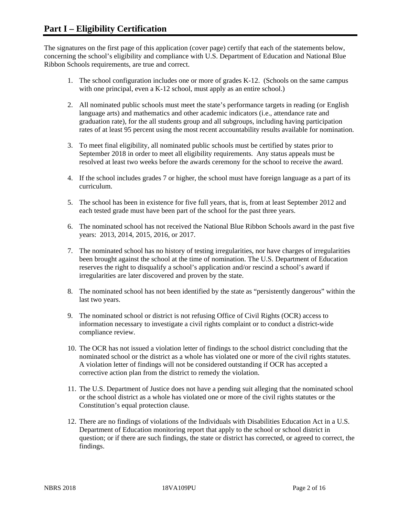The signatures on the first page of this application (cover page) certify that each of the statements below, concerning the school's eligibility and compliance with U.S. Department of Education and National Blue Ribbon Schools requirements, are true and correct.

- 1. The school configuration includes one or more of grades K-12. (Schools on the same campus with one principal, even a K-12 school, must apply as an entire school.)
- 2. All nominated public schools must meet the state's performance targets in reading (or English language arts) and mathematics and other academic indicators (i.e., attendance rate and graduation rate), for the all students group and all subgroups, including having participation rates of at least 95 percent using the most recent accountability results available for nomination.
- 3. To meet final eligibility, all nominated public schools must be certified by states prior to September 2018 in order to meet all eligibility requirements. Any status appeals must be resolved at least two weeks before the awards ceremony for the school to receive the award.
- 4. If the school includes grades 7 or higher, the school must have foreign language as a part of its curriculum.
- 5. The school has been in existence for five full years, that is, from at least September 2012 and each tested grade must have been part of the school for the past three years.
- 6. The nominated school has not received the National Blue Ribbon Schools award in the past five years: 2013, 2014, 2015, 2016, or 2017.
- 7. The nominated school has no history of testing irregularities, nor have charges of irregularities been brought against the school at the time of nomination. The U.S. Department of Education reserves the right to disqualify a school's application and/or rescind a school's award if irregularities are later discovered and proven by the state.
- 8. The nominated school has not been identified by the state as "persistently dangerous" within the last two years.
- 9. The nominated school or district is not refusing Office of Civil Rights (OCR) access to information necessary to investigate a civil rights complaint or to conduct a district-wide compliance review.
- 10. The OCR has not issued a violation letter of findings to the school district concluding that the nominated school or the district as a whole has violated one or more of the civil rights statutes. A violation letter of findings will not be considered outstanding if OCR has accepted a corrective action plan from the district to remedy the violation.
- 11. The U.S. Department of Justice does not have a pending suit alleging that the nominated school or the school district as a whole has violated one or more of the civil rights statutes or the Constitution's equal protection clause.
- 12. There are no findings of violations of the Individuals with Disabilities Education Act in a U.S. Department of Education monitoring report that apply to the school or school district in question; or if there are such findings, the state or district has corrected, or agreed to correct, the findings.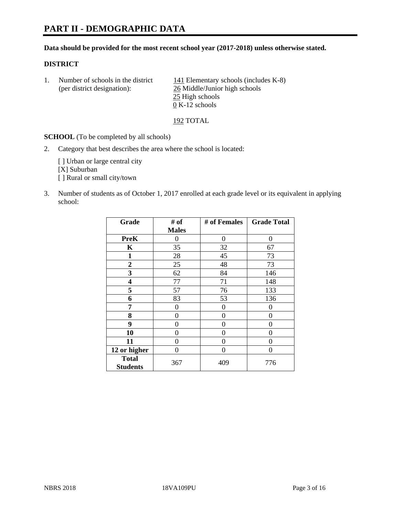# **PART II - DEMOGRAPHIC DATA**

#### **Data should be provided for the most recent school year (2017-2018) unless otherwise stated.**

#### **DISTRICT**

1. Number of schools in the district  $141$  Elementary schools (includes K-8) (per district designation): 26 Middle/Junior high schools 25 High schools  $\overline{0}$  K-12 schools

192 TOTAL

**SCHOOL** (To be completed by all schools)

2. Category that best describes the area where the school is located:

[] Urban or large central city [X] Suburban [] Rural or small city/town

3. Number of students as of October 1, 2017 enrolled at each grade level or its equivalent in applying school:

| Grade                           | # of         | # of Females   | <b>Grade Total</b> |
|---------------------------------|--------------|----------------|--------------------|
|                                 | <b>Males</b> |                |                    |
| <b>PreK</b>                     | 0            | $\overline{0}$ | 0                  |
| $\mathbf K$                     | 35           | 32             | 67                 |
| 1                               | 28           | 45             | 73                 |
| $\overline{2}$                  | 25           | 48             | 73                 |
| 3                               | 62           | 84             | 146                |
| 4                               | 77           | 71             | 148                |
| 5                               | 57           | 76             | 133                |
| 6                               | 83           | 53             | 136                |
| 7                               | 0            | $\theta$       | 0                  |
| 8                               | 0            | $\theta$       | 0                  |
| 9                               | $\theta$     | $\theta$       | 0                  |
| 10                              | 0            | 0              | 0                  |
| 11                              | 0            | 0              | 0                  |
| 12 or higher                    | 0            | 0              | 0                  |
| <b>Total</b><br><b>Students</b> | 367          | 409            | 776                |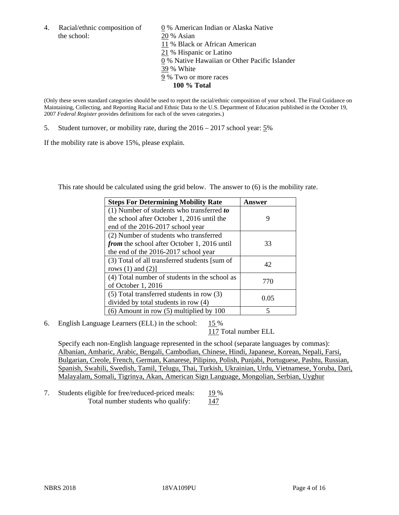the school: 20 % Asian

4. Racial/ethnic composition of  $\qquad 0 \%$  American Indian or Alaska Native 11 % Black or African American 21 % Hispanic or Latino 0 % Native Hawaiian or Other Pacific Islander 39 % White 9 % Two or more races **100 % Total**

(Only these seven standard categories should be used to report the racial/ethnic composition of your school. The Final Guidance on Maintaining, Collecting, and Reporting Racial and Ethnic Data to the U.S. Department of Education published in the October 19, 2007 *Federal Register* provides definitions for each of the seven categories.)

5. Student turnover, or mobility rate, during the 2016 – 2017 school year: 5%

If the mobility rate is above 15%, please explain.

This rate should be calculated using the grid below. The answer to (6) is the mobility rate.

| <b>Steps For Determining Mobility Rate</b>    | Answer |
|-----------------------------------------------|--------|
| $(1)$ Number of students who transferred to   |        |
| the school after October 1, 2016 until the    | 9      |
| end of the 2016-2017 school year              |        |
| (2) Number of students who transferred        |        |
| from the school after October 1, 2016 until   | 33     |
| the end of the 2016-2017 school year          |        |
| (3) Total of all transferred students [sum of | 42     |
| rows $(1)$ and $(2)$ ]                        |        |
| (4) Total number of students in the school as |        |
| of October 1, 2016                            | 770    |
| (5) Total transferred students in row (3)     |        |
| divided by total students in row $(4)$        | 0.05   |
| $(6)$ Amount in row $(5)$ multiplied by 100   | 5      |

6. English Language Learners (ELL) in the school: 15 %

117 Total number ELL

Specify each non-English language represented in the school (separate languages by commas): Albanian, Amharic, Arabic, Bengali, Cambodian, Chinese, Hindi, Japanese, Korean, Nepali, Farsi, Bulgarian, Creole, French, German, Kanarese, Pilipino, Polish, Punjabi, Portuguese, Pashtu, Russian, Spanish, Swahili, Swedish, Tamil, Telugu, Thai, Turkish, Ukrainian, Urdu, Vietnamese, Yoruba, Dari, Malayalam, Somali, Tigrinya, Akan, American Sign Language, Mongolian, Serbian, Uyghur

7. Students eligible for free/reduced-priced meals: 19 % Total number students who qualify: 147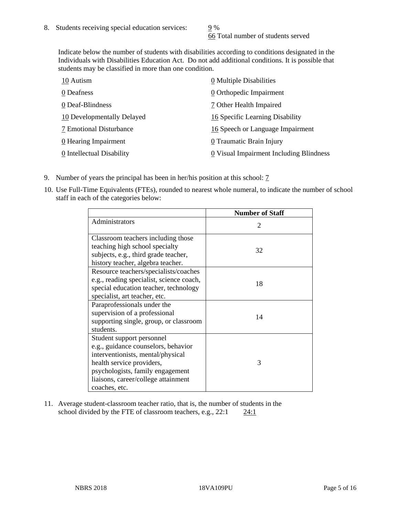66 Total number of students served

Indicate below the number of students with disabilities according to conditions designated in the Individuals with Disabilities Education Act. Do not add additional conditions. It is possible that students may be classified in more than one condition.

| 10 Autism                  | 0 Multiple Disabilities                 |
|----------------------------|-----------------------------------------|
| 0 Deafness                 | 0 Orthopedic Impairment                 |
| 0 Deaf-Blindness           | 7 Other Health Impaired                 |
| 10 Developmentally Delayed | 16 Specific Learning Disability         |
| 7 Emotional Disturbance    | 16 Speech or Language Impairment        |
| 0 Hearing Impairment       | 0 Traumatic Brain Injury                |
| 0 Intellectual Disability  | 0 Visual Impairment Including Blindness |

- 9. Number of years the principal has been in her/his position at this school:  $\frac{7}{1}$
- 10. Use Full-Time Equivalents (FTEs), rounded to nearest whole numeral, to indicate the number of school staff in each of the categories below:

|                                                                                                                                                                                                                                | <b>Number of Staff</b>      |
|--------------------------------------------------------------------------------------------------------------------------------------------------------------------------------------------------------------------------------|-----------------------------|
| Administrators                                                                                                                                                                                                                 | $\mathcal{D}_{\mathcal{A}}$ |
| Classroom teachers including those<br>teaching high school specialty<br>subjects, e.g., third grade teacher,<br>history teacher, algebra teacher.                                                                              | 32                          |
| Resource teachers/specialists/coaches<br>e.g., reading specialist, science coach,<br>special education teacher, technology<br>specialist, art teacher, etc.                                                                    | 18                          |
| Paraprofessionals under the<br>supervision of a professional<br>supporting single, group, or classroom<br>students.                                                                                                            | 14                          |
| Student support personnel<br>e.g., guidance counselors, behavior<br>interventionists, mental/physical<br>health service providers,<br>psychologists, family engagement<br>liaisons, career/college attainment<br>coaches, etc. | 3                           |

11. Average student-classroom teacher ratio, that is, the number of students in the school divided by the FTE of classroom teachers, e.g.,  $22:1$  24:1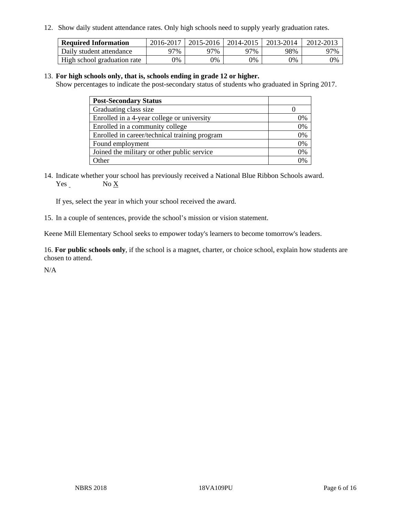12. Show daily student attendance rates. Only high schools need to supply yearly graduation rates.

| <b>Required Information</b> | 2016-2017 | 2015-2016 | 2014-2015 | 2013-2014 | 2012-2013 |
|-----------------------------|-----------|-----------|-----------|-----------|-----------|
| Daily student attendance    | 97%       | 97%       | 97%       | 98%       | 97%       |
| High school graduation rate | 0%        | 0%        | 0%        | 0%        | 0%        |

#### 13. **For high schools only, that is, schools ending in grade 12 or higher.**

Show percentages to indicate the post-secondary status of students who graduated in Spring 2017.

| <b>Post-Secondary Status</b>                  |    |
|-----------------------------------------------|----|
| Graduating class size                         |    |
| Enrolled in a 4-year college or university    | 7% |
| Enrolled in a community college               | 0% |
| Enrolled in career/technical training program | 0% |
| Found employment                              | 0% |
| Joined the military or other public service   | 0% |
| Other                                         |    |

14. Indicate whether your school has previously received a National Blue Ribbon Schools award. Yes No X

If yes, select the year in which your school received the award.

15. In a couple of sentences, provide the school's mission or vision statement.

Keene Mill Elementary School seeks to empower today's learners to become tomorrow's leaders.

16. **For public schools only**, if the school is a magnet, charter, or choice school, explain how students are chosen to attend.

N/A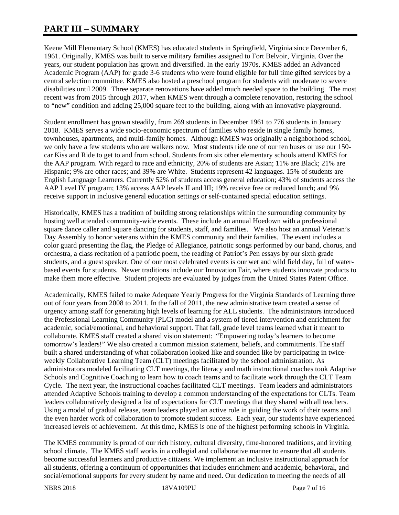# **PART III – SUMMARY**

Keene Mill Elementary School (KMES) has educated students in Springfield, Virginia since December 6, 1961. Originally, KMES was built to serve military families assigned to Fort Belvoir, Virginia. Over the years, our student population has grown and diversified. In the early 1970s, KMES added an Advanced Academic Program (AAP) for grade 3-6 students who were found eligible for full time gifted services by a central selection committee. KMES also hosted a preschool program for students with moderate to severe disabilities until 2009. Three separate renovations have added much needed space to the building. The most recent was from 2015 through 2017, when KMES went through a complete renovation, restoring the school to "new" condition and adding 25,000 square feet to the building, along with an innovative playground.

Student enrollment has grown steadily, from 269 students in December 1961 to 776 students in January 2018. KMES serves a wide socio-economic spectrum of families who reside in single family homes, townhouses, apartments, and multi-family homes. Although KMES was originally a neighborhood school, we only have a few students who are walkers now. Most students ride one of our ten buses or use our 150 car Kiss and Ride to get to and from school. Students from six other elementary schools attend KMES for the AAP program. With regard to race and ethnicity, 20% of students are Asian; 11% are Black; 21% are Hispanic; 9% are other races; and 39% are White. Students represent 42 languages. 15% of students are English Language Learners. Currently 52% of students access general education; 43% of students access the AAP Level IV program; 13% access AAP levels II and III; 19% receive free or reduced lunch; and 9% receive support in inclusive general education settings or self-contained special education settings.

Historically, KMES has a tradition of building strong relationships within the surrounding community by hosting well attended community-wide events. These include an annual Hoedown with a professional square dance caller and square dancing for students, staff, and families. We also host an annual Veteran's Day Assembly to honor veterans within the KMES community and their families. The event includes a color guard presenting the flag, the Pledge of Allegiance, patriotic songs performed by our band, chorus, and orchestra, a class recitation of a patriotic poem, the reading of Patriot's Pen essays by our sixth grade students, and a guest speaker. One of our most celebrated events is our wet and wild field day, full of waterbased events for students. Newer traditions include our Innovation Fair, where students innovate products to make them more effective. Student projects are evaluated by judges from the United States Patent Office.

Academically, KMES failed to make Adequate Yearly Progress for the Virginia Standards of Learning three out of four years from 2008 to 2011. In the fall of 2011, the new administrative team created a sense of urgency among staff for generating high levels of learning for ALL students. The administrators introduced the Professional Learning Community (PLC) model and a system of tiered intervention and enrichment for academic, social/emotional, and behavioral support. That fall, grade level teams learned what it meant to collaborate. KMES staff created a shared vision statement: "Empowering today's learners to become tomorrow's leaders!" We also created a common mission statement, beliefs, and commitments. The staff built a shared understanding of what collaboration looked like and sounded like by participating in twiceweekly Collaborative Learning Team (CLT) meetings facilitated by the school administration. As administrators modeled facilitating CLT meetings, the literacy and math instructional coaches took Adaptive Schools and Cognitive Coaching to learn how to coach teams and to facilitate work through the CLT Team Cycle. The next year, the instructional coaches facilitated CLT meetings. Team leaders and administrators attended Adaptive Schools training to develop a common understanding of the expectations for CLTs. Team leaders collaboratively designed a list of expectations for CLT meetings that they shared with all teachers. Using a model of gradual release, team leaders played an active role in guiding the work of their teams and the even harder work of collaboration to promote student success. Each year, our students have experienced increased levels of achievement. At this time, KMES is one of the highest performing schools in Virginia.

The KMES community is proud of our rich history, cultural diversity, time-honored traditions, and inviting school climate. The KMES staff works in a collegial and collaborative manner to ensure that all students become successful learners and productive citizens. We implement an inclusive instructional approach for all students, offering a continuum of opportunities that includes enrichment and academic, behavioral, and social/emotional supports for every student by name and need. Our dedication to meeting the needs of all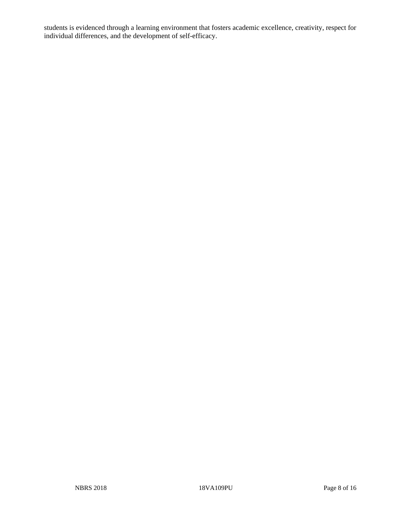students is evidenced through a learning environment that fosters academic excellence, creativity, respect for individual differences, and the development of self-efficacy.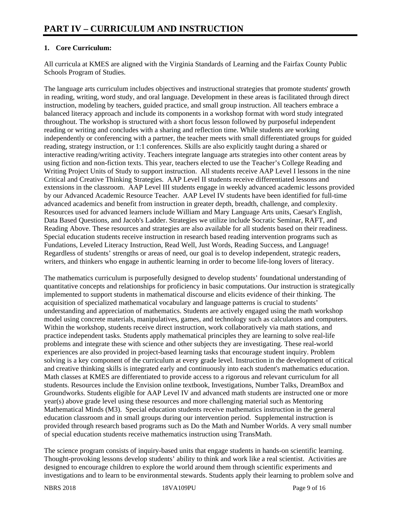# **1. Core Curriculum:**

All curricula at KMES are aligned with the Virginia Standards of Learning and the Fairfax County Public Schools Program of Studies.

The language arts curriculum includes objectives and instructional strategies that promote students' growth in reading, writing, word study, and oral language. Development in these areas is facilitated through direct instruction, modeling by teachers, guided practice, and small group instruction. All teachers embrace a balanced literacy approach and include its components in a workshop format with word study integrated throughout. The workshop is structured with a short focus lesson followed by purposeful independent reading or writing and concludes with a sharing and reflection time. While students are working independently or conferencing with a partner, the teacher meets with small differentiated groups for guided reading, strategy instruction, or 1:1 conferences. Skills are also explicitly taught during a shared or interactive reading/writing activity. Teachers integrate language arts strategies into other content areas by using fiction and non-fiction texts. This year, teachers elected to use the Teacher's College Reading and Writing Project Units of Study to support instruction. All students receive AAP Level I lessons in the nine Critical and Creative Thinking Strategies. AAP Level II students receive differentiated lessons and extensions in the classroom. AAP Level III students engage in weekly advanced academic lessons provided by our Advanced Academic Resource Teacher. AAP Level IV students have been identified for full-time advanced academics and benefit from instruction in greater depth, breadth, challenge, and complexity. Resources used for advanced learners include William and Mary Language Arts units, Caesar's English, Data Based Questions, and Jacob's Ladder. Strategies we utilize include Socratic Seminar, RAFT, and Reading Above. These resources and strategies are also available for all students based on their readiness. Special education students receive instruction in research based reading intervention programs such as Fundations, Leveled Literacy Instruction, Read Well, Just Words, Reading Success, and Language! Regardless of students' strengths or areas of need, our goal is to develop independent, strategic readers, writers, and thinkers who engage in authentic learning in order to become life-long lovers of literacy.

The mathematics curriculum is purposefully designed to develop students' foundational understanding of quantitative concepts and relationships for proficiency in basic computations. Our instruction is strategically implemented to support students in mathematical discourse and elicits evidence of their thinking. The acquisition of specialized mathematical vocabulary and language patterns is crucial to students' understanding and appreciation of mathematics. Students are actively engaged using the math workshop model using concrete materials, manipulatives, games, and technology such as calculators and computers. Within the workshop, students receive direct instruction, work collaboratively via math stations, and practice independent tasks. Students apply mathematical principles they are learning to solve real-life problems and integrate these with science and other subjects they are investigating. These real-world experiences are also provided in project-based learning tasks that encourage student inquiry. Problem solving is a key component of the curriculum at every grade level. Instruction in the development of critical and creative thinking skills is integrated early and continuously into each student's mathematics education. Math classes at KMES are differentiated to provide access to a rigorous and relevant curriculum for all students. Resources include the Envision online textbook, Investigations, Number Talks, DreamBox and Groundworks. Students eligible for AAP Level IV and advanced math students are instructed one or more year(s) above grade level using these resources and more challenging material such as Mentoring Mathematical Minds (M3). Special education students receive mathematics instruction in the general education classroom and in small groups during our intervention period. Supplemental instruction is provided through research based programs such as Do the Math and Number Worlds. A very small number of special education students receive mathematics instruction using TransMath.

The science program consists of inquiry-based units that engage students in hands-on scientific learning. Thought-provoking lessons develop students' ability to think and work like a real scientist. Activities are designed to encourage children to explore the world around them through scientific experiments and investigations and to learn to be environmental stewards. Students apply their learning to problem solve and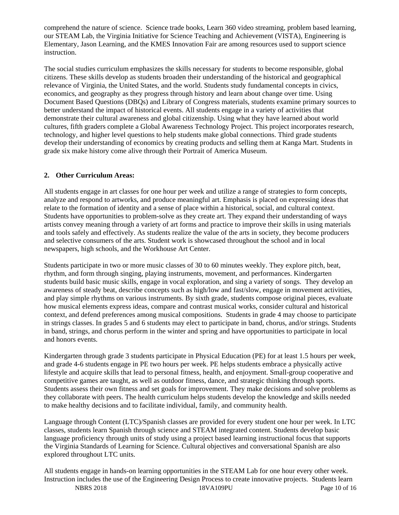comprehend the nature of science. Science trade books, Learn 360 video streaming, problem based learning, our STEAM Lab, the Virginia Initiative for Science Teaching and Achievement (VISTA), Engineering is Elementary, Jason Learning, and the KMES Innovation Fair are among resources used to support science instruction.

The social studies curriculum emphasizes the skills necessary for students to become responsible, global citizens. These skills develop as students broaden their understanding of the historical and geographical relevance of Virginia, the United States, and the world. Students study fundamental concepts in civics, economics, and geography as they progress through history and learn about change over time. Using Document Based Questions (DBQs) and Library of Congress materials, students examine primary sources to better understand the impact of historical events. All students engage in a variety of activities that demonstrate their cultural awareness and global citizenship. Using what they have learned about world cultures, fifth graders complete a Global Awareness Technology Project. This project incorporates research, technology, and higher level questions to help students make global connections. Third grade students develop their understanding of economics by creating products and selling them at Kanga Mart. Students in grade six make history come alive through their Portrait of America Museum.

# **2. Other Curriculum Areas:**

All students engage in art classes for one hour per week and utilize a range of strategies to form concepts, analyze and respond to artworks, and produce meaningful art. Emphasis is placed on expressing ideas that relate to the formation of identity and a sense of place within a historical, social, and cultural context. Students have opportunities to problem-solve as they create art. They expand their understanding of ways artists convey meaning through a variety of art forms and practice to improve their skills in using materials and tools safely and effectively. As students realize the value of the arts in society, they become producers and selective consumers of the arts. Student work is showcased throughout the school and in local newspapers, high schools, and the Workhouse Art Center.

Students participate in two or more music classes of 30 to 60 minutes weekly. They explore pitch, beat, rhythm, and form through singing, playing instruments, movement, and performances. Kindergarten students build basic music skills, engage in vocal exploration, and sing a variety of songs. They develop an awareness of steady beat, describe concepts such as high/low and fast/slow, engage in movement activities, and play simple rhythms on various instruments. By sixth grade, students compose original pieces, evaluate how musical elements express ideas, compare and contrast musical works, consider cultural and historical context, and defend preferences among musical compositions. Students in grade 4 may choose to participate in strings classes. In grades 5 and 6 students may elect to participate in band, chorus, and/or strings. Students in band, strings, and chorus perform in the winter and spring and have opportunities to participate in local and honors events.

Kindergarten through grade 3 students participate in Physical Education (PE) for at least 1.5 hours per week, and grade 4-6 students engage in PE two hours per week. PE helps students embrace a physically active lifestyle and acquire skills that lead to personal fitness, health, and enjoyment. Small-group cooperative and competitive games are taught, as well as outdoor fitness, dance, and strategic thinking through sports. Students assess their own fitness and set goals for improvement. They make decisions and solve problems as they collaborate with peers. The health curriculum helps students develop the knowledge and skills needed to make healthy decisions and to facilitate individual, family, and community health.

Language through Content (LTC)/Spanish classes are provided for every student one hour per week. In LTC classes, students learn Spanish through science and STEAM integrated content. Students develop basic language proficiency through units of study using a project based learning instructional focus that supports the Virginia Standards of Learning for Science. Cultural objectives and conversational Spanish are also explored throughout LTC units.

NBRS 2018 18VA109PU Page 10 of 16 All students engage in hands-on learning opportunities in the STEAM Lab for one hour every other week. Instruction includes the use of the Engineering Design Process to create innovative projects. Students learn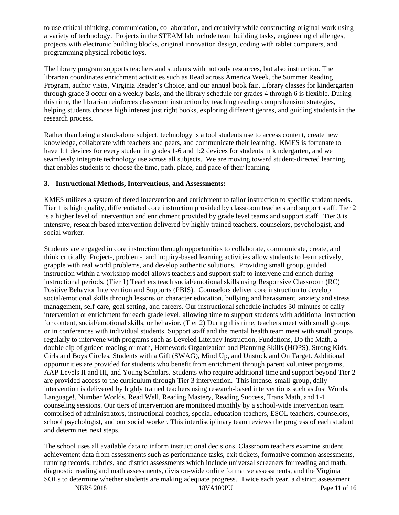to use critical thinking, communication, collaboration, and creativity while constructing original work using a variety of technology. Projects in the STEAM lab include team building tasks, engineering challenges, projects with electronic building blocks, original innovation design, coding with tablet computers, and programming physical robotic toys.

The library program supports teachers and students with not only resources, but also instruction. The librarian coordinates enrichment activities such as Read across America Week, the Summer Reading Program, author visits, Virginia Reader's Choice, and our annual book fair. Library classes for kindergarten through grade 3 occur on a weekly basis, and the library schedule for grades 4 through 6 is flexible. During this time, the librarian reinforces classroom instruction by teaching reading comprehension strategies, helping students choose high interest just right books, exploring different genres, and guiding students in the research process.

Rather than being a stand-alone subject, technology is a tool students use to access content, create new knowledge, collaborate with teachers and peers, and communicate their learning. KMES is fortunate to have 1:1 devices for every student in grades 1-6 and 1:2 devices for students in kindergarten, and we seamlessly integrate technology use across all subjects. We are moving toward student-directed learning that enables students to choose the time, path, place, and pace of their learning.

## **3. Instructional Methods, Interventions, and Assessments:**

KMES utilizes a system of tiered intervention and enrichment to tailor instruction to specific student needs. Tier 1 is high quality, differentiated core instruction provided by classroom teachers and support staff. Tier 2 is a higher level of intervention and enrichment provided by grade level teams and support staff. Tier 3 is intensive, research based intervention delivered by highly trained teachers, counselors, psychologist, and social worker.

Students are engaged in core instruction through opportunities to collaborate, communicate, create, and think critically. Project-, problem-, and inquiry-based learning activities allow students to learn actively, grapple with real world problems, and develop authentic solutions. Providing small group, guided instruction within a workshop model allows teachers and support staff to intervene and enrich during instructional periods. (Tier 1) Teachers teach social/emotional skills using Responsive Classroom (RC) Positive Behavior Intervention and Supports (PBIS). Counselors deliver core instruction to develop social/emotional skills through lessons on character education, bullying and harassment, anxiety and stress management, self-care, goal setting, and careers. Our instructional schedule includes 30-minutes of daily intervention or enrichment for each grade level, allowing time to support students with additional instruction for content, social/emotional skills, or behavior. (Tier 2) During this time, teachers meet with small groups or in conferences with individual students. Support staff and the mental health team meet with small groups regularly to intervene with programs such as Leveled Literacy Instruction, Fundations, Do the Math, a double dip of guided reading or math, Homework Organization and Planning Skills (HOPS), Strong Kids, Girls and Boys Circles, Students with a Gift (SWAG), Mind Up, and Unstuck and On Target. Additional opportunities are provided for students who benefit from enrichment through parent volunteer programs, AAP Levels II and III, and Young Scholars. Students who require additional time and support beyond Tier 2 are provided access to the curriculum through Tier 3 intervention. This intense, small-group, daily intervention is delivered by highly trained teachers using research-based interventions such as Just Words, Language!, Number Worlds, Read Well, Reading Mastery, Reading Success, Trans Math, and 1-1 counseling sessions. Our tiers of intervention are monitored monthly by a school-wide intervention team comprised of administrators, instructional coaches, special education teachers, ESOL teachers, counselors, school psychologist, and our social worker. This interdisciplinary team reviews the progress of each student and determines next steps.

The school uses all available data to inform instructional decisions. Classroom teachers examine student achievement data from assessments such as performance tasks, exit tickets, formative common assessments, running records, rubrics, and district assessments which include universal screeners for reading and math, diagnostic reading and math assessments, division-wide online formative assessments, and the Virginia SOLs to determine whether students are making adequate progress. Twice each year, a district assessment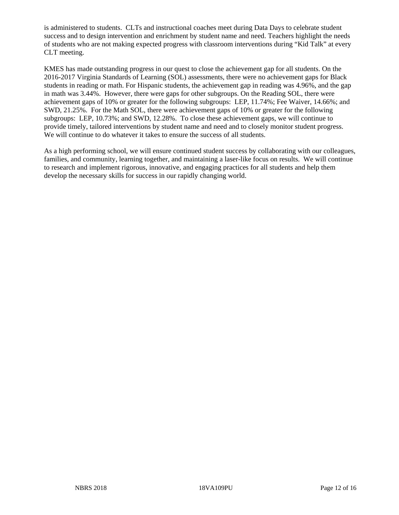is administered to students. CLTs and instructional coaches meet during Data Days to celebrate student success and to design intervention and enrichment by student name and need. Teachers highlight the needs of students who are not making expected progress with classroom interventions during "Kid Talk" at every CLT meeting.

KMES has made outstanding progress in our quest to close the achievement gap for all students. On the 2016-2017 Virginia Standards of Learning (SOL) assessments, there were no achievement gaps for Black students in reading or math. For Hispanic students, the achievement gap in reading was 4.96%, and the gap in math was 3.44%. However, there were gaps for other subgroups. On the Reading SOL, there were achievement gaps of 10% or greater for the following subgroups: LEP, 11.74%; Fee Waiver, 14.66%; and SWD, 21.25%. For the Math SOL, there were achievement gaps of 10% or greater for the following subgroups: LEP, 10.73%; and SWD, 12.28%. To close these achievement gaps, we will continue to provide timely, tailored interventions by student name and need and to closely monitor student progress. We will continue to do whatever it takes to ensure the success of all students.

As a high performing school, we will ensure continued student success by collaborating with our colleagues, families, and community, learning together, and maintaining a laser-like focus on results. We will continue to research and implement rigorous, innovative, and engaging practices for all students and help them develop the necessary skills for success in our rapidly changing world.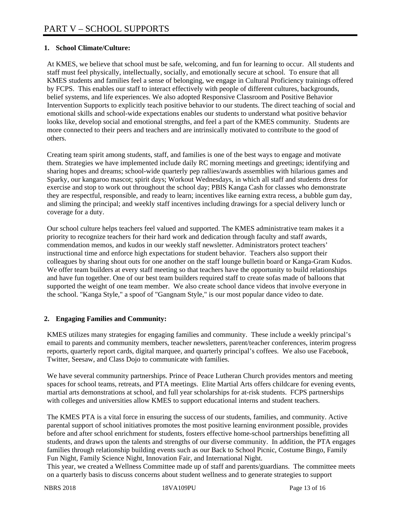## **1. School Climate/Culture:**

At KMES, we believe that school must be safe, welcoming, and fun for learning to occur. All students and staff must feel physically, intellectually, socially, and emotionally secure at school. To ensure that all KMES students and families feel a sense of belonging, we engage in Cultural Proficiency trainings offered by FCPS. This enables our staff to interact effectively with people of different cultures, backgrounds, belief systems, and life experiences. We also adopted Responsive Classroom and Positive Behavior Intervention Supports to explicitly teach positive behavior to our students. The direct teaching of social and emotional skills and school-wide expectations enables our students to understand what positive behavior looks like, develop social and emotional strengths, and feel a part of the KMES community. Students are more connected to their peers and teachers and are intrinsically motivated to contribute to the good of others.

Creating team spirit among students, staff, and families is one of the best ways to engage and motivate them. Strategies we have implemented include daily RC morning meetings and greetings; identifying and sharing hopes and dreams; school-wide quarterly pep rallies/awards assemblies with hilarious games and Sparky, our kangaroo mascot; spirit days; Workout Wednesdays, in which all staff and students dress for exercise and stop to work out throughout the school day; PBIS Kanga Cash for classes who demonstrate they are respectful, responsible, and ready to learn; incentives like earning extra recess, a bubble gum day, and sliming the principal; and weekly staff incentives including drawings for a special delivery lunch or coverage for a duty.

Our school culture helps teachers feel valued and supported. The KMES administrative team makes it a priority to recognize teachers for their hard work and dedication through faculty and staff awards, commendation memos, and kudos in our weekly staff newsletter. Administrators protect teachers' instructional time and enforce high expectations for student behavior. Teachers also support their colleagues by sharing shout outs for one another on the staff lounge bulletin board or Kanga-Gram Kudos. We offer team builders at every staff meeting so that teachers have the opportunity to build relationships and have fun together. One of our best team builders required staff to create sofas made of balloons that supported the weight of one team member. We also create school dance videos that involve everyone in the school. "Kanga Style," a spoof of "Gangnam Style," is our most popular dance video to date.

# **2. Engaging Families and Community:**

KMES utilizes many strategies for engaging families and community. These include a weekly principal's email to parents and community members, teacher newsletters, parent/teacher conferences, interim progress reports, quarterly report cards, digital marquee, and quarterly principal's coffees. We also use Facebook, Twitter, Seesaw, and Class Dojo to communicate with families.

We have several community partnerships. Prince of Peace Lutheran Church provides mentors and meeting spaces for school teams, retreats, and PTA meetings. Elite Martial Arts offers childcare for evening events, martial arts demonstrations at school, and full year scholarships for at-risk students. FCPS partnerships with colleges and universities allow KMES to support educational interns and student teachers.

The KMES PTA is a vital force in ensuring the success of our students, families, and community. Active parental support of school initiatives promotes the most positive learning environment possible, provides before and after school enrichment for students, fosters effective home-school partnerships benefitting all students, and draws upon the talents and strengths of our diverse community. In addition, the PTA engages families through relationship building events such as our Back to School Picnic, Costume Bingo, Family Fun Night, Family Science Night, Innovation Fair, and International Night.

This year, we created a Wellness Committee made up of staff and parents/guardians. The committee meets on a quarterly basis to discuss concerns about student wellness and to generate strategies to support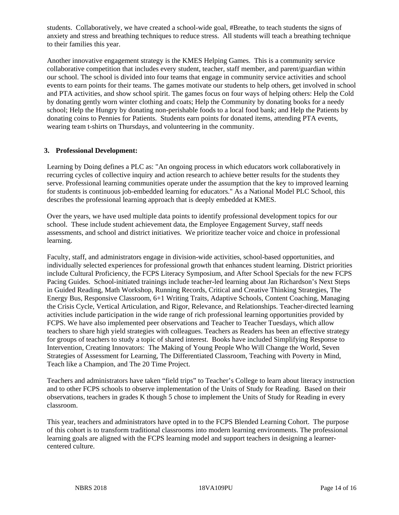students. Collaboratively, we have created a school-wide goal, #Breathe, to teach students the signs of anxiety and stress and breathing techniques to reduce stress. All students will teach a breathing technique to their families this year.

Another innovative engagement strategy is the KMES Helping Games. This is a community service collaborative competition that includes every student, teacher, staff member, and parent/guardian within our school. The school is divided into four teams that engage in community service activities and school events to earn points for their teams. The games motivate our students to help others, get involved in school and PTA activities, and show school spirit. The games focus on four ways of helping others: Help the Cold by donating gently worn winter clothing and coats; Help the Community by donating books for a needy school; Help the Hungry by donating non-perishable foods to a local food bank; and Help the Patients by donating coins to Pennies for Patients. Students earn points for donated items, attending PTA events, wearing team t-shirts on Thursdays, and volunteering in the community.

## **3. Professional Development:**

Learning by Doing defines a PLC as: "An ongoing process in which educators work collaboratively in recurring cycles of collective inquiry and action research to achieve better results for the students they serve. Professional learning communities operate under the assumption that the key to improved learning for students is continuous job-embedded learning for educators." As a National Model PLC School, this describes the professional learning approach that is deeply embedded at KMES.

Over the years, we have used multiple data points to identify professional development topics for our school. These include student achievement data, the Employee Engagement Survey, staff needs assessments, and school and district initiatives. We prioritize teacher voice and choice in professional learning.

Faculty, staff, and administrators engage in division-wide activities, school-based opportunities, and individually selected experiences for professional growth that enhances student learning. District priorities include Cultural Proficiency, the FCPS Literacy Symposium, and After School Specials for the new FCPS Pacing Guides. School-initiated trainings include teacher-led learning about Jan Richardson's Next Steps in Guided Reading, Math Workshop, Running Records, Critical and Creative Thinking Strategies, The Energy Bus, Responsive Classroom, 6+1 Writing Traits, Adaptive Schools, Content Coaching, Managing the Crisis Cycle, Vertical Articulation, and Rigor, Relevance, and Relationships. Teacher-directed learning activities include participation in the wide range of rich professional learning opportunities provided by FCPS. We have also implemented peer observations and Teacher to Teacher Tuesdays, which allow teachers to share high yield strategies with colleagues. Teachers as Readers has been an effective strategy for groups of teachers to study a topic of shared interest. Books have included Simplifying Response to Intervention, Creating Innovators: The Making of Young People Who Will Change the World, Seven Strategies of Assessment for Learning, The Differentiated Classroom, Teaching with Poverty in Mind, Teach like a Champion, and The 20 Time Project.

Teachers and administrators have taken "field trips" to Teacher's College to learn about literacy instruction and to other FCPS schools to observe implementation of the Units of Study for Reading. Based on their observations, teachers in grades K though 5 chose to implement the Units of Study for Reading in every classroom.

This year, teachers and administrators have opted in to the FCPS Blended Learning Cohort. The purpose of this cohort is to transform traditional classrooms into modern learning environments. The professional learning goals are aligned with the FCPS learning model and support teachers in designing a learnercentered culture.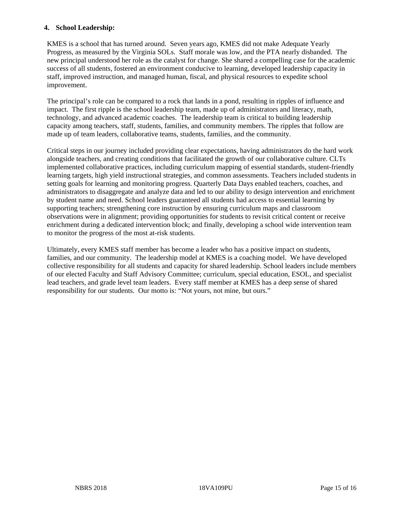## **4. School Leadership:**

KMES is a school that has turned around. Seven years ago, KMES did not make Adequate Yearly Progress, as measured by the Virginia SOLs. Staff morale was low, and the PTA nearly disbanded. The new principal understood her role as the catalyst for change. She shared a compelling case for the academic success of all students, fostered an environment conducive to learning, developed leadership capacity in staff, improved instruction, and managed human, fiscal, and physical resources to expedite school improvement.

The principal's role can be compared to a rock that lands in a pond, resulting in ripples of influence and impact. The first ripple is the school leadership team, made up of administrators and literacy, math, technology, and advanced academic coaches. The leadership team is critical to building leadership capacity among teachers, staff, students, families, and community members. The ripples that follow are made up of team leaders, collaborative teams, students, families, and the community.

Critical steps in our journey included providing clear expectations, having administrators do the hard work alongside teachers, and creating conditions that facilitated the growth of our collaborative culture. CLTs implemented collaborative practices, including curriculum mapping of essential standards, student-friendly learning targets, high yield instructional strategies, and common assessments. Teachers included students in setting goals for learning and monitoring progress. Quarterly Data Days enabled teachers, coaches, and administrators to disaggregate and analyze data and led to our ability to design intervention and enrichment by student name and need. School leaders guaranteed all students had access to essential learning by supporting teachers; strengthening core instruction by ensuring curriculum maps and classroom observations were in alignment; providing opportunities for students to revisit critical content or receive enrichment during a dedicated intervention block; and finally, developing a school wide intervention team to monitor the progress of the most at-risk students.

Ultimately, every KMES staff member has become a leader who has a positive impact on students, families, and our community. The leadership model at KMES is a coaching model. We have developed collective responsibility for all students and capacity for shared leadership. School leaders include members of our elected Faculty and Staff Advisory Committee; curriculum, special education, ESOL, and specialist lead teachers, and grade level team leaders. Every staff member at KMES has a deep sense of shared responsibility for our students. Our motto is: "Not yours, not mine, but ours."